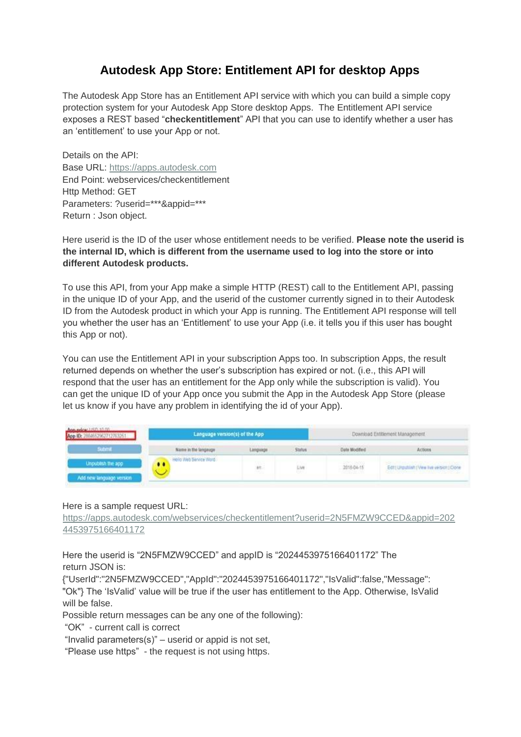# **Autodesk App Store: Entitlement API for desktop Apps**

The Autodesk App Store has an Entitlement API service with which you can build a simple copy protection system for your Autodesk App Store desktop Apps. The Entitlement API service exposes a REST based "**checkentitlement**" API that you can use to identify whether a user has an 'entitlement' to use your App or not.

Details on the API: Base URL[:](https://apps.autodesk.com/) [https://apps.autodesk.com](https://apps.autodesk.com/) End Point: webservices/checkentitlement Http Method: GET Parameters: ?userid=\*\*\*&appid=\*\*\* Return : Json object.

Here userid is the ID of the user whose entitlement needs to be verified. **Please note the userid is the internal ID, which is different from the username used to log into the store or into different Autodesk products.** 

To use this API, from your App make a simple HTTP (REST) call to the Entitlement API, passing in the unique ID of your App, and the userid of the customer currently signed in to their Autodesk ID from the Autodesk product in which your App is running. The Entitlement API response will tell you whether the user has an 'Entitlement' to use your App (i.e. it tells you if this user has bought this App or not).

You can use the Entitlement API in your subscription Apps too. In subscription Apps, the result returned depends on whether the user's subscription has expired or not. (i.e., this API will respond that the user has an entitlement for the App only while the subscription is valid). You can get the unique ID of your App once you submit the App in the Autodesk App Store (please let us know if you have any problem in identifying the id of your App).

| Ann ndee USD 10 PEL<br>App ID: 2884652962712763251 | Language version(s) of the App |                           |               | Download Entitlement Management |                                                                                                                                                                  |
|----------------------------------------------------|--------------------------------|---------------------------|---------------|---------------------------------|------------------------------------------------------------------------------------------------------------------------------------------------------------------|
| utamit                                             | Name in the langauge           | Language                  | <b>Status</b> | <b>Date Modified</b>            | Actions                                                                                                                                                          |
| Unpublish the app<br>Add new language version      | Hello Web Service Word<br>     | $\overline{\mathfrak{m}}$ | Live          | 2016-04-15<br>1,431,522         | Edit   Urquitish   View I've version   Clone<br>and the control of the control of the control of the control of the control of the control of the control of the |

#### Here is a sample request URL:

[https://apps.autodesk.com/webservices/checkentitlement?userid=2N5FMZW9CCED&appid=202](https://apps.autodesk.com/webservices/checkentitlement?userid=2N5FMZW9CCED&appid=2024453975166401172)  [4453975166401172](https://apps.autodesk.com/webservices/checkentitlement?userid=2N5FMZW9CCED&appid=2024453975166401172)

Here the userid is "2N5FMZW9CCED" and appID is "2024453975166401172" The return JSON is:

{"UserId":"2N5FMZW9CCED","AppId":"2024453975166401172","IsValid":false,"Message": "Ok"} The 'IsValid' value will be true if the user has entitlement to the App. Otherwise, IsValid will be false.

Possible return messages can be any one of the following):

"OK" - current call is correct

"Invalid parameters(s)" – userid or appid is not set,

"Please use https" - the request is not using https.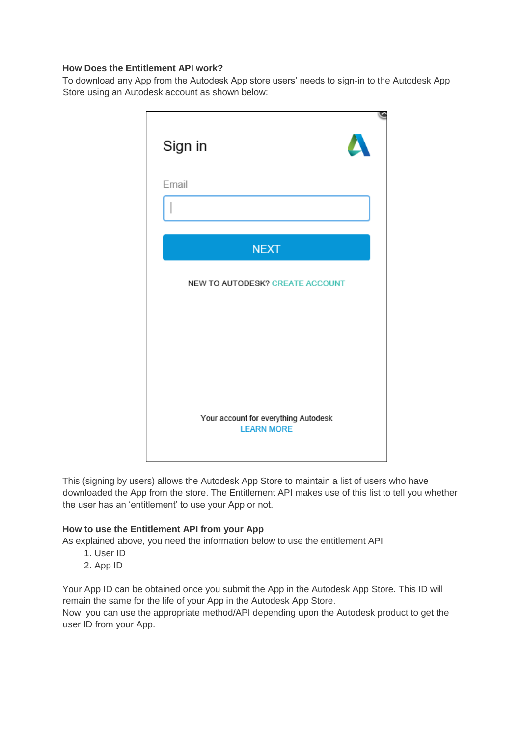### **How Does the Entitlement API work?**

To download any App from the Autodesk App store users' needs to sign-in to the Autodesk App Store using an Autodesk account as shown below:



This (signing by users) allows the Autodesk App Store to maintain a list of users who have downloaded the App from the store. The Entitlement API makes use of this list to tell you whether the user has an 'entitlement' to use your App or not.

# **How to use the Entitlement API from your App**

As explained above, you need the information below to use the entitlement API

- 1. User ID
- 2. App ID

Your App ID can be obtained once you submit the App in the Autodesk App Store. This ID will remain the same for the life of your App in the Autodesk App Store.

Now, you can use the appropriate method/API depending upon the Autodesk product to get the user ID from your App.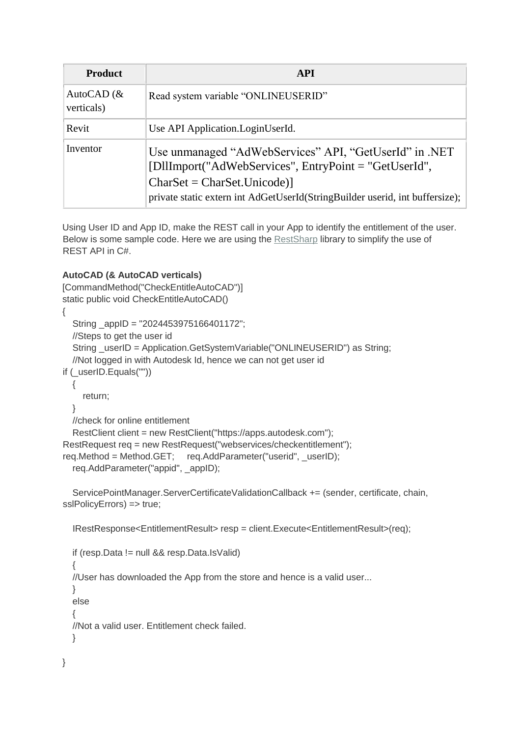| <b>Product</b>              | <b>API</b>                                                                                                                                                                                                                         |
|-----------------------------|------------------------------------------------------------------------------------------------------------------------------------------------------------------------------------------------------------------------------------|
| AutoCAD $(\&$<br>verticals) | Read system variable "ONLINEUSERID"                                                                                                                                                                                                |
| Revit                       | Use API Application. Login UserId.                                                                                                                                                                                                 |
| Inventor                    | Use unmanaged "AdWebServices" API, "GetUserId" in .NET<br>[DllImport("AdWebServices", EntryPoint = "GetUserId",<br>$CharSet = CharSet$ . Unicode)]<br>private static extern int AdGetUserId(StringBuilder userid, int buffersize); |

Using User ID and App ID, make the REST call in your App to identify the entitlement of the user. Below is some sample code. Here we are using the [RestSharp](http://restsharp.org/) library to simplify the use of REST API in C#.

# **AutoCAD (& AutoCAD verticals)**

```
[CommandMethod("CheckEntitleAutoCAD")] 
static public void CheckEntitleAutoCAD() 
{ 
   String _appID = "2024453975166401172"; 
   //Steps to get the user id 
   String _userID = Application.GetSystemVariable("ONLINEUSERID") as String; 
   //Not logged in with Autodesk Id, hence we can not get user id 
if (_userID.Equals("")) 
   { 
     return; 
   } 
   //check for online entitlement 
   RestClient client = new RestClient("https://apps.autodesk.com"); 
RestRequest req = new RestRequest("webservices/checkentitlement"); 
req.Method = Method.GET; req.AddParameter("userid", userID);
   req.AddParameter("appid", _appID);
```
ServicePointManager.ServerCertificateValidationCallback += (sender, certificate, chain, sslPolicyErrors) => true;

IRestResponse<EntitlementResult> resp = client.Execute<EntitlementResult>(req);

```
 if (resp.Data != null && resp.Data.IsValid) 
 { 
   //User has downloaded the App from the store and hence is a valid user... 
   } 
   else 
 { 
   //Not a valid user. Entitlement check failed. 
   }
```

```
}
```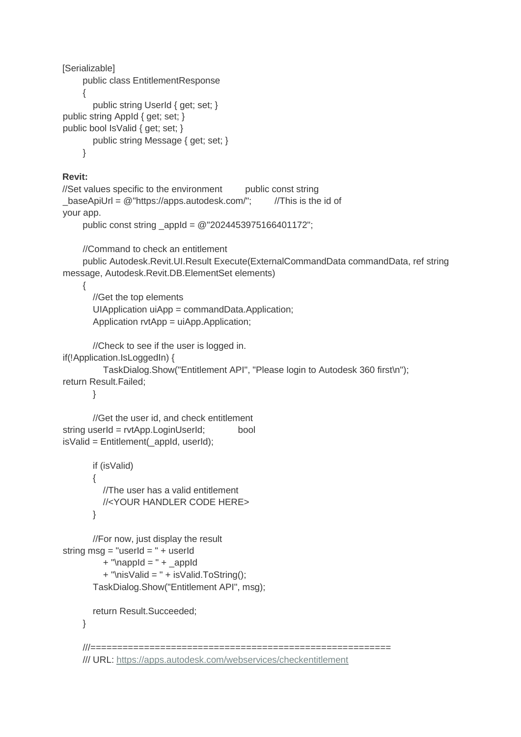```
[Serializable] 
      public class EntitlementResponse 
      { 
         public string UserId { get; set; } 
public string AppId { get; set; } 
public bool IsValid { get; set; } 
         public string Message { get; set; } 
      }
```
#### **Revit:**

```
//Set values specific to the environment public const string
_baseApiUrl = @"https://apps.autodesk.com/"; //This is the id of 
your app.
```

```
 public const string _appId = @"2024453975166401172";
```
//Command to check an entitlement

 public Autodesk.Revit.UI.Result Execute(ExternalCommandData commandData, ref string message, Autodesk.Revit.DB.ElementSet elements)

{

```
 //Get the top elements 
 UIApplication uiApp = commandData.Application; 
 Application rvtApp = uiApp.Application;
```
//Check to see if the user is logged in.

```
if(!Application.IsLoggedIn) {
```

```
 TaskDialog.Show("Entitlement API", "Please login to Autodesk 360 first\n"); 
return Result.Failed;
```
}

```
 //Get the user id, and check entitlement 
string userId = rvtApp.LoginUserId; bool
isValid = Entitlement(_appId, userId);
```

```
 if (isValid) 
 { 
   //The user has a valid entitlement 
   //<YOUR HANDLER CODE HERE> 
 }
```

```
 //For now, just display the result 
string msg = "userId = " + useful
```

```
+ "\nappId = " + _appId
```

```
 + "\nisValid = " + isValid.ToString(); 
 TaskDialog.Show("Entitlement API", msg);
```

```
 return Result.Succeeded;
```

```
 }
```

```
 ///======================================================== 
 /// URL: https://apps.autodesk.com/webservices/checkentitlement
```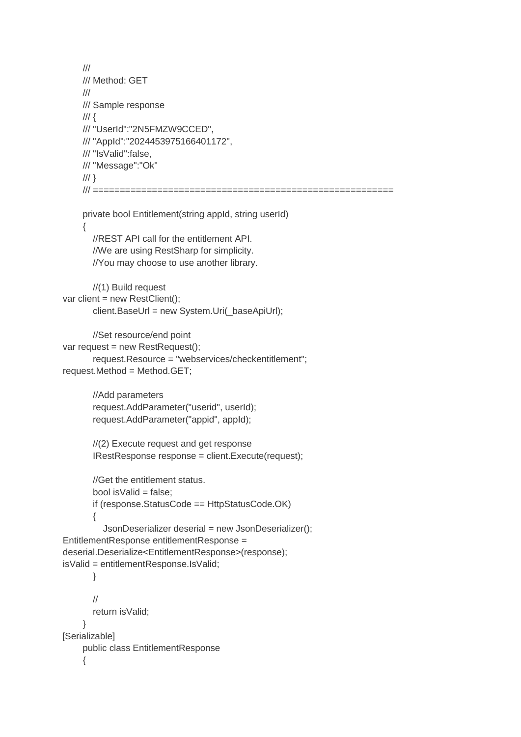```
 /// 
      /// Method: GET 
      /// 
      /// Sample response 
     \frac{1}{2} /// "UserId":"2N5FMZW9CCED", 
      /// "AppId":"2024453975166401172", 
      /// "IsValid":false, 
      /// "Message":"Ok" 
     /// }
      /// ======================================================== 
      private bool Entitlement(string appId, string userId) 
 { 
        //REST API call for the entitlement API. 
        //We are using RestSharp for simplicity. 
        //You may choose to use another library. 
        //(1) Build request 
var client = new RestClient();
        client.BaseUrl = new System.Uri(_baseApiUrl); 
        //Set resource/end point 
var request = new RestRequest(); 
        request.Resource = "webservices/checkentitlement"; 
request.Method = Method.GET; 
        //Add parameters 
        request.AddParameter("userid", userId); 
        request.AddParameter("appid", appId); 
        //(2) Execute request and get response 
        IRestResponse response = client.Execute(request); 
        //Get the entitlement status. 
       bool is Valid = false;
        if (response.StatusCode == HttpStatusCode.OK) 
        { 
           JsonDeserializer deserial = new JsonDeserializer(); 
EntitlementResponse entitlementResponse = 
deserial.Deserialize<EntitlementResponse>(response); 
isValid = entitlementResponse.IsValid; 
        } 
        // 
        return isValid; 
      } 
[Serializable] 
      public class EntitlementResponse 
      {
```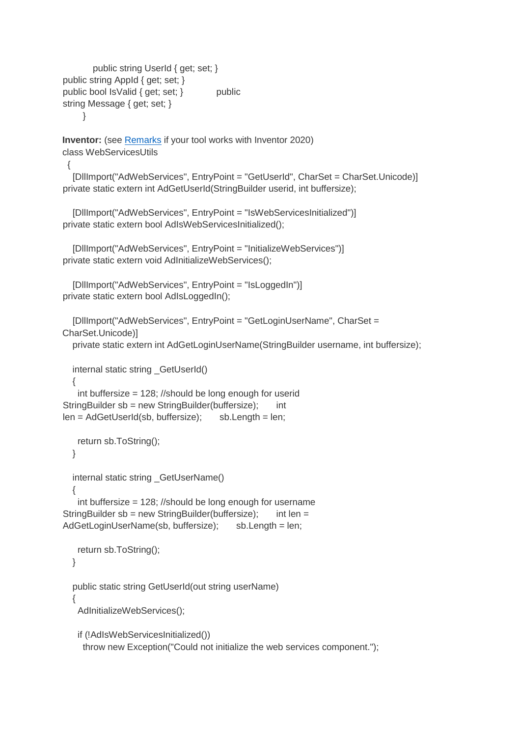```
 public string UserId { get; set; } 
public string AppId { get; set; } 
public bool IsValid { get; set; } public
string Message { get; set; } 
      }
```
**Inventor:** (see [Remarks](#page-7-0) if your tool works with Inventor 2020) class WebServicesUtils

{

 [DllImport("AdWebServices", EntryPoint = "GetUserId", CharSet = CharSet.Unicode)] private static extern int AdGetUserId(StringBuilder userid, int buffersize);

 [DllImport("AdWebServices", EntryPoint = "IsWebServicesInitialized")] private static extern bool AdIsWebServicesInitialized();

```
 [DllImport("AdWebServices", EntryPoint = "InitializeWebServices")] 
private static extern void AdInitializeWebServices();
```

```
 [DllImport("AdWebServices", EntryPoint = "IsLoggedIn")] 
private static extern bool AdIsLoggedIn();
```

```
 [DllImport("AdWebServices", EntryPoint = "GetLoginUserName", CharSet = 
CharSet.Unicode)]
```
private static extern int AdGetLoginUserName(StringBuilder username, int buffersize);

```
internal static string GetUserId()
```

```
 int buffersize = 128; //should be long enough for userid 
StringBuilder sb = new StringBuilder(buffersize); int
len = AdGetUserId(sb, buffersize); sb.Length = len;
```
return sb.ToString();

}

{

```
 internal static string _GetUserName()
```

```
 { 
    int buffersize = 128; //should be long enough for username 
StringBuilder sb = new StringBuilder(buffersize); int len =
AdGetLoginUserName(sb, buffersize); sb.Length = len;
```

```
 return sb.ToString(); 
 }
```

```
 public static string GetUserId(out string userName) 
 { 
    AdInitializeWebServices();
```

```
 if (!AdIsWebServicesInitialized()) 
  throw new Exception("Could not initialize the web services component.");
```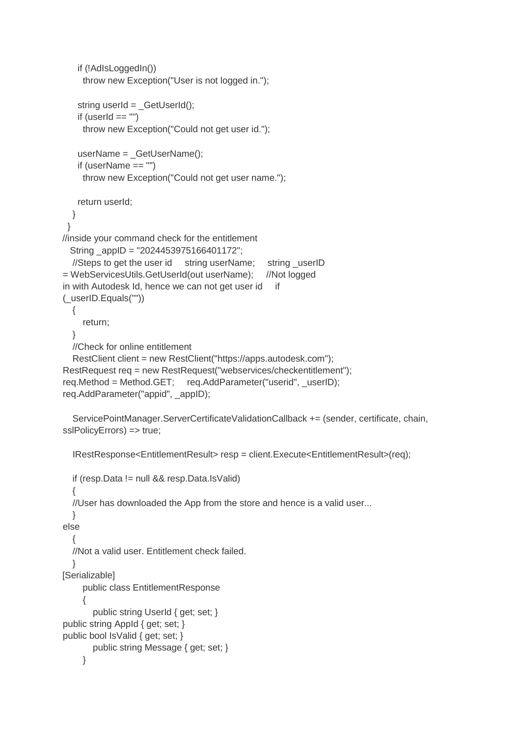```
 if (!AdIsLoggedIn()) 
      throw new Exception("User is not logged in."); 
   string userId = GetUserId();
   if (userId == "")
      throw new Exception("Could not get user id."); 
    userName = GetUserName();
    if (userName == "") 
      throw new Exception("Could not get user name."); 
    return userId; 
   } 
  } 
//inside your command check for the entitlement 
   String _appID = "2024453975166401172"; 
  //Steps to get the user id string userName; string userID
= WebServicesUtils.GetUserId(out userName); //Not logged 
in with Autodesk Id, hence we can not get user id if
(_userID.Equals("")) 
   { 
      return; 
   } 
   //Check for online entitlement 
   RestClient client = new RestClient("https://apps.autodesk.com"); 
RestRequest req = new RestRequest("webservices/checkentitlement"); 
req.Method = Method.GET; req.AddParameter("userid", userID);
req.AddParameter("appid", appID);
  ServicePointManager.ServerCertificateValidationCallback += (sender, certificate, chain,
sslPolicyErrors) => true;
   IRestResponse<EntitlementResult> resp = client.Execute<EntitlementResult>(req); 
   if (resp.Data != null && resp.Data.IsValid) 
 { 
   //User has downloaded the App from the store and hence is a valid user... 
   } 
else 
   { 
   //Not a valid user. Entitlement check failed. 
   } 
[Serializable] 
      public class EntitlementResponse 
      { 
        public string UserId { get; set; } 
public string AppId { get; set; }
public bool IsValid { get; set; } 
        public string Message { get; set; } 
      }
```